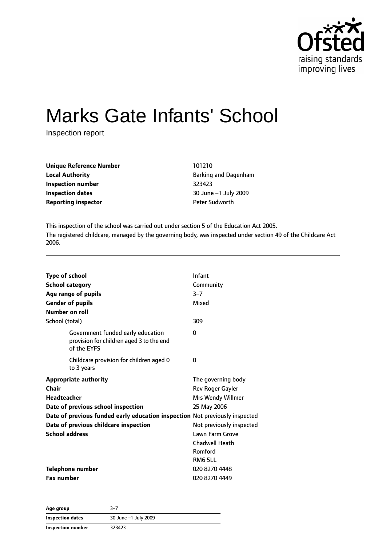

# Marks Gate Infants' School

Inspection report

| Unique Reference Number    | 101210                 |
|----------------------------|------------------------|
| <b>Local Authority</b>     | <b>Barking and Dag</b> |
| Inspection number          | 323423                 |
| Inspection dates           | $30$ June $-1$ July    |
| <b>Reporting inspector</b> | <b>Peter Sudworth</b>  |

**Local Authority** Barking and Dagenham **Inspection number** 323423 **Inspection dates** 30 June –1 July 2009

This inspection of the school was carried out under section 5 of the Education Act 2005. The registered childcare, managed by the governing body, was inspected under section 49 of the Childcare Act 2006.

| Type of school                                                                               | Infant                   |
|----------------------------------------------------------------------------------------------|--------------------------|
| <b>School category</b>                                                                       | Community                |
| Age range of pupils                                                                          | $3 - 7$                  |
| <b>Gender of pupils</b>                                                                      | Mixed                    |
| Number on roll                                                                               |                          |
| School (total)                                                                               | 309                      |
| Government funded early education<br>provision for children aged 3 to the end<br>of the EYFS | $\Omega$                 |
| Childcare provision for children aged 0<br>to 3 years                                        | 0                        |
| <b>Appropriate authority</b>                                                                 | The governing body       |
| Chair                                                                                        | Rev Roger Gayler         |
| <b>Headteacher</b>                                                                           | Mrs Wendy Willmer        |
| Date of previous school inspection                                                           | 25 May 2006              |
| Date of previous funded early education inspection Not previously inspected                  |                          |
| Date of previous childcare inspection                                                        | Not previously inspected |
| <b>School address</b>                                                                        | Lawn Farm Grove          |
|                                                                                              | <b>Chadwell Heath</b>    |
|                                                                                              | Romford                  |
|                                                                                              | RM6 5LL                  |
| <b>Telephone number</b>                                                                      | 020 8270 4448            |
| <b>Fax number</b>                                                                            | 020 8270 4449            |

| Age group         | 3–7                  |  |
|-------------------|----------------------|--|
| Inspection dates  | 30 June -1 July 2009 |  |
| Inspection number | 323423               |  |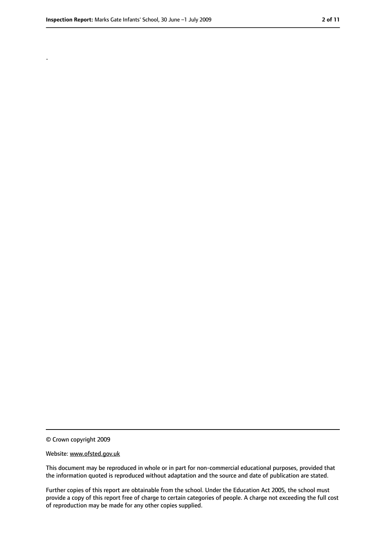.

<sup>©</sup> Crown copyright 2009

Website: www.ofsted.gov.uk

This document may be reproduced in whole or in part for non-commercial educational purposes, provided that the information quoted is reproduced without adaptation and the source and date of publication are stated.

Further copies of this report are obtainable from the school. Under the Education Act 2005, the school must provide a copy of this report free of charge to certain categories of people. A charge not exceeding the full cost of reproduction may be made for any other copies supplied.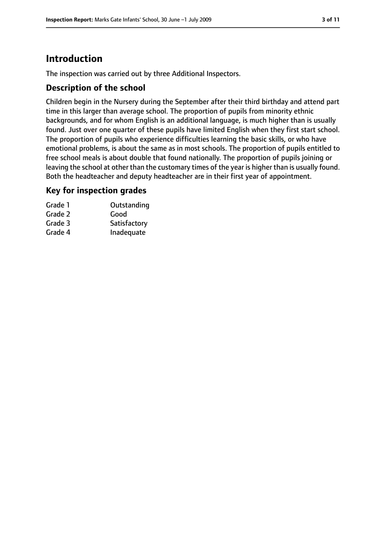# **Introduction**

The inspection was carried out by three Additional Inspectors.

#### **Description of the school**

Children begin in the Nursery during the September after their third birthday and attend part time in this larger than average school. The proportion of pupils from minority ethnic backgrounds, and for whom English is an additional language, is much higher than is usually found. Just over one quarter of these pupils have limited English when they first start school. The proportion of pupils who experience difficulties learning the basic skills, or who have emotional problems, is about the same as in most schools. The proportion of pupils entitled to free school meals is about double that found nationally. The proportion of pupils joining or leaving the school at other than the customary times of the year is higher than is usually found. Both the headteacher and deputy headteacher are in their first year of appointment.

#### **Key for inspection grades**

| Grade 1 | Outstanding  |
|---------|--------------|
| Grade 2 | Good         |
| Grade 3 | Satisfactory |
| Grade 4 | Inadequate   |
|         |              |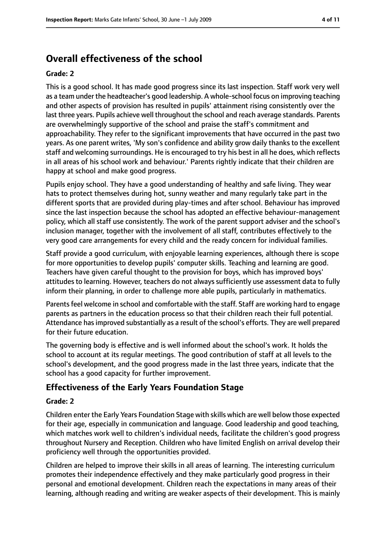# **Overall effectiveness of the school**

#### **Grade: 2**

This is a good school. It has made good progress since its last inspection. Staff work very well as a team under the headteacher's good leadership. A whole-school focus on improving teaching and other aspects of provision has resulted in pupils' attainment rising consistently over the last three years. Pupils achieve well throughout the school and reach average standards. Parents are overwhelmingly supportive of the school and praise the staff's commitment and approachability. They refer to the significant improvements that have occurred in the past two years. As one parent writes, 'My son's confidence and ability grow daily thanks to the excellent staff and welcoming surroundings. He is encouraged to try his best in all he does, which reflects in all areas of his school work and behaviour.' Parents rightly indicate that their children are happy at school and make good progress.

Pupils enjoy school. They have a good understanding of healthy and safe living. They wear hats to protect themselves during hot, sunny weather and many regularly take part in the different sports that are provided during play-times and after school. Behaviour has improved since the last inspection because the school has adopted an effective behaviour-management policy, which all staff use consistently. The work of the parent support adviser and the school's inclusion manager, together with the involvement of all staff, contributes effectively to the very good care arrangements for every child and the ready concern for individual families.

Staff provide a good curriculum, with enjoyable learning experiences, although there is scope for more opportunities to develop pupils' computer skills. Teaching and learning are good. Teachers have given careful thought to the provision for boys, which has improved boys' attitudes to learning. However, teachers do not always sufficiently use assessment data to fully inform their planning, in order to challenge more able pupils, particularly in mathematics.

Parents feel welcome in school and comfortable with the staff. Staff are working hard to engage parents as partners in the education process so that their children reach their full potential. Attendance hasimproved substantially as a result of the school's efforts. They are well prepared for their future education.

The governing body is effective and is well informed about the school's work. It holds the school to account at its regular meetings. The good contribution of staff at all levels to the school's development, and the good progress made in the last three years, indicate that the school has a good capacity for further improvement.

#### **Effectiveness of the Early Years Foundation Stage**

#### **Grade: 2**

Children enter the Early Years Foundation Stage with skills which are well below those expected for their age, especially in communication and language. Good leadership and good teaching, which matches work well to children's individual needs, facilitate the children's good progress throughout Nursery and Reception. Children who have limited English on arrival develop their proficiency well through the opportunities provided.

Children are helped to improve their skills in all areas of learning. The interesting curriculum promotes their independence effectively and they make particularly good progress in their personal and emotional development. Children reach the expectations in many areas of their learning, although reading and writing are weaker aspects of their development. This is mainly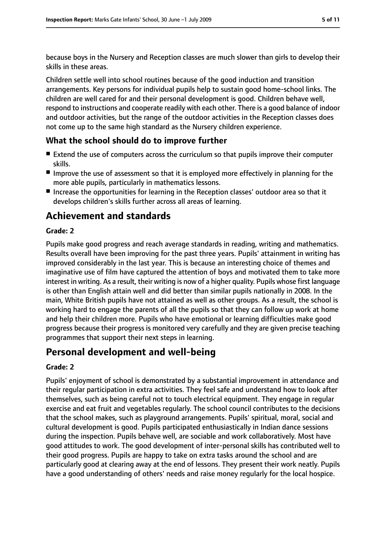because boys in the Nursery and Reception classes are much slower than girls to develop their skills in these areas.

Children settle well into school routines because of the good induction and transition arrangements. Key persons for individual pupils help to sustain good home-school links. The children are well cared for and their personal development is good. Children behave well, respond to instructions and cooperate readily with each other. There is a good balance of indoor and outdoor activities, but the range of the outdoor activities in the Reception classes does not come up to the same high standard as the Nursery children experience.

#### **What the school should do to improve further**

- Extend the use of computers across the curriculum so that pupils improve their computer skills.
- Improve the use of assessment so that it is employed more effectively in planning for the more able pupils, particularly in mathematics lessons.
- Increase the opportunities for learning in the Reception classes' outdoor area so that it develops children's skills further across all areas of learning.

# **Achievement and standards**

#### **Grade: 2**

Pupils make good progress and reach average standards in reading, writing and mathematics. Results overall have been improving for the past three years. Pupils' attainment in writing has improved considerably in the last year. This is because an interesting choice of themes and imaginative use of film have captured the attention of boys and motivated them to take more interest in writing. As a result, their writing is now of a higher quality. Pupils whose first language is other than English attain well and did better than similar pupils nationally in 2008. In the main, White British pupils have not attained as well as other groups. As a result, the school is working hard to engage the parents of all the pupils so that they can follow up work at home and help their children more. Pupils who have emotional or learning difficulties make good progress because their progress is monitored very carefully and they are given precise teaching programmes that support their next steps in learning.

## **Personal development and well-being**

#### **Grade: 2**

Pupils' enjoyment of school is demonstrated by a substantial improvement in attendance and their regular participation in extra activities. They feel safe and understand how to look after themselves, such as being careful not to touch electrical equipment. They engage in regular exercise and eat fruit and vegetables regularly. The school council contributes to the decisions that the school makes, such as playground arrangements. Pupils' spiritual, moral, social and cultural development is good. Pupils participated enthusiastically in Indian dance sessions during the inspection. Pupils behave well, are sociable and work collaboratively. Most have good attitudes to work. The good development of inter-personal skills has contributed well to their good progress. Pupils are happy to take on extra tasks around the school and are particularly good at clearing away at the end of lessons. They present their work neatly. Pupils have a good understanding of others' needs and raise money regularly for the local hospice.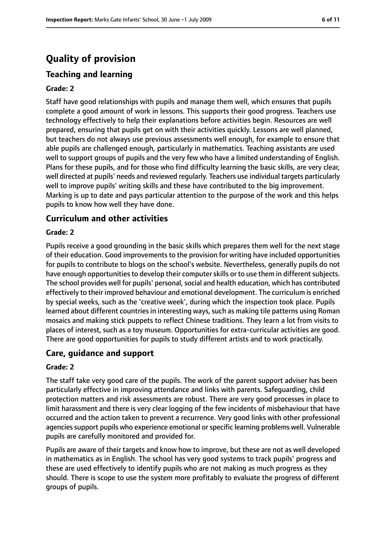# **Quality of provision**

#### **Teaching and learning**

#### **Grade: 2**

Staff have good relationships with pupils and manage them well, which ensures that pupils complete a good amount of work in lessons. This supports their good progress. Teachers use technology effectively to help their explanations before activities begin. Resources are well prepared, ensuring that pupils get on with their activities quickly. Lessons are well planned, but teachers do not always use previous assessments well enough, for example to ensure that able pupils are challenged enough, particularly in mathematics. Teaching assistants are used well to support groups of pupils and the very few who have a limited understanding of English. Plans for these pupils, and for those who find difficulty learning the basic skills, are very clear, well directed at pupils' needs and reviewed regularly. Teachers use individual targets particularly well to improve pupils' writing skills and these have contributed to the big improvement. Marking is up to date and pays particular attention to the purpose of the work and this helps pupils to know how well they have done.

#### **Curriculum and other activities**

#### **Grade: 2**

Pupils receive a good grounding in the basic skills which prepares them well for the next stage of their education. Good improvements to the provision for writing have included opportunities for pupils to contribute to blogs on the school's website. Nevertheless, generally pupils do not have enough opportunities to develop their computer skills or to use them in different subjects. The school provides well for pupils' personal, social and health education, which has contributed effectively to their improved behaviour and emotional development. The curriculum is enriched by special weeks, such as the 'creative week', during which the inspection took place. Pupils learned about different countries in interesting ways, such as making tile patterns using Roman mosaics and making stick puppets to reflect Chinese traditions. They learn a lot from visits to places of interest, such as a toy museum. Opportunities for extra-curricular activities are good. There are good opportunities for pupils to study different artists and to work practically.

#### **Care, guidance and support**

#### **Grade: 2**

The staff take very good care of the pupils. The work of the parent support adviser has been particularly effective in improving attendance and links with parents. Safeguarding, child protection matters and risk assessments are robust. There are very good processes in place to limit harassment and there is very clear logging of the few incidents of misbehaviour that have occurred and the action taken to prevent a recurrence. Very good links with other professional agencies support pupils who experience emotional or specific learning problems well. Vulnerable pupils are carefully monitored and provided for.

Pupils are aware of their targets and know how to improve, but these are not as well developed in mathematics as in English. The school has very good systems to track pupils' progress and these are used effectively to identify pupils who are not making as much progress as they should. There is scope to use the system more profitably to evaluate the progress of different groups of pupils.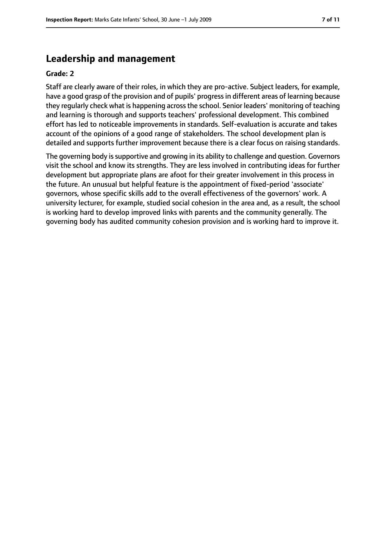#### **Leadership and management**

#### **Grade: 2**

Staff are clearly aware of their roles, in which they are pro-active. Subject leaders, for example, have a good grasp of the provision and of pupils' progressin different areas of learning because they regularly check what is happening acrossthe school. Senior leaders' monitoring of teaching and learning is thorough and supports teachers' professional development. This combined effort has led to noticeable improvements in standards. Self-evaluation is accurate and takes account of the opinions of a good range of stakeholders. The school development plan is detailed and supports further improvement because there is a clear focus on raising standards.

The governing body is supportive and growing in its ability to challenge and question. Governors visit the school and know its strengths. They are less involved in contributing ideas for further development but appropriate plans are afoot for their greater involvement in this process in the future. An unusual but helpful feature is the appointment of fixed-period 'associate' governors, whose specific skills add to the overall effectiveness of the governors' work. A university lecturer, for example, studied social cohesion in the area and, as a result, the school is working hard to develop improved links with parents and the community generally. The governing body has audited community cohesion provision and is working hard to improve it.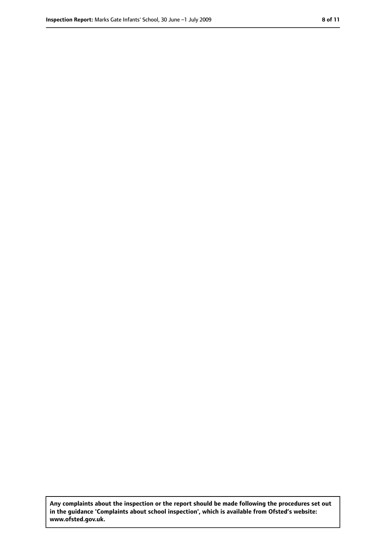**Any complaints about the inspection or the report should be made following the procedures set out in the guidance 'Complaints about school inspection', which is available from Ofsted's website: www.ofsted.gov.uk.**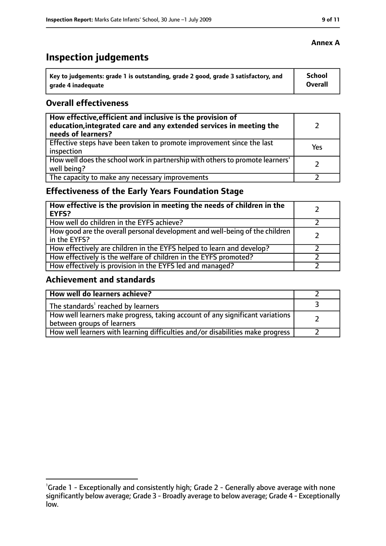# **Inspection judgements**

| Key to judgements: grade 1 is outstanding, grade 2 good, grade 3 satisfactory, and | <b>School</b>  |
|------------------------------------------------------------------------------------|----------------|
| arade 4 inadequate                                                                 | <b>Overall</b> |

#### **Overall effectiveness**

| How effective, efficient and inclusive is the provision of<br>education, integrated care and any extended services in meeting the<br>needs of learners? |     |
|---------------------------------------------------------------------------------------------------------------------------------------------------------|-----|
| Effective steps have been taken to promote improvement since the last<br>inspection                                                                     | Yes |
| How well does the school work in partnership with others to promote learners'<br>well being?                                                            |     |
| The capacity to make any necessary improvements                                                                                                         |     |

### **Effectiveness of the Early Years Foundation Stage**

| How effective is the provision in meeting the needs of children in the<br>EYFS?              |  |
|----------------------------------------------------------------------------------------------|--|
| How well do children in the EYFS achieve?                                                    |  |
| How good are the overall personal development and well-being of the children<br>in the EYFS? |  |
| How effectively are children in the EYFS helped to learn and develop?                        |  |
| How effectively is the welfare of children in the EYFS promoted?                             |  |
| How effectively is provision in the EYFS led and managed?                                    |  |

#### **Achievement and standards**

| How well do learners achieve?                                                                               |  |
|-------------------------------------------------------------------------------------------------------------|--|
| The standards <sup>1</sup> reached by learners                                                              |  |
| How well learners make progress, taking account of any significant variations<br>between groups of learners |  |
| How well learners with learning difficulties and/or disabilities make progress                              |  |

<sup>&</sup>lt;sup>1</sup>Grade 1 - Exceptionally and consistently high; Grade 2 - Generally above average with none significantly below average; Grade 3 - Broadly average to below average; Grade 4 - Exceptionally low.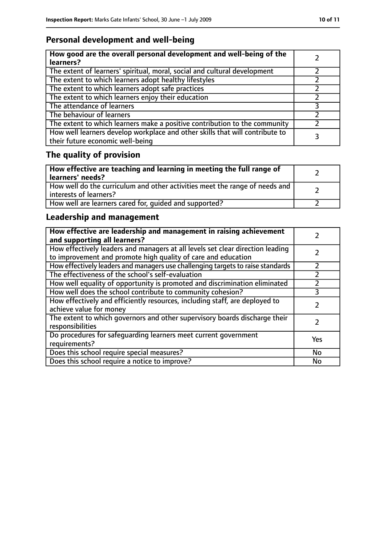### **Personal development and well-being**

| How good are the overall personal development and well-being of the<br>learners?                                 |  |
|------------------------------------------------------------------------------------------------------------------|--|
| The extent of learners' spiritual, moral, social and cultural development                                        |  |
| The extent to which learners adopt healthy lifestyles                                                            |  |
| The extent to which learners adopt safe practices                                                                |  |
| The extent to which learners enjoy their education                                                               |  |
| The attendance of learners                                                                                       |  |
| The behaviour of learners                                                                                        |  |
| The extent to which learners make a positive contribution to the community                                       |  |
| How well learners develop workplace and other skills that will contribute to<br>their future economic well-being |  |

# **The quality of provision**

| How effective are teaching and learning in meeting the full range of<br>learners' needs?              |  |
|-------------------------------------------------------------------------------------------------------|--|
| How well do the curriculum and other activities meet the range of needs and<br>interests of learners? |  |
| How well are learners cared for, quided and supported?                                                |  |

### **Leadership and management**

| How effective are leadership and management in raising achievement<br>and supporting all learners?                                              |     |
|-------------------------------------------------------------------------------------------------------------------------------------------------|-----|
| How effectively leaders and managers at all levels set clear direction leading<br>to improvement and promote high quality of care and education |     |
| How effectively leaders and managers use challenging targets to raise standards                                                                 |     |
| The effectiveness of the school's self-evaluation                                                                                               |     |
| How well equality of opportunity is promoted and discrimination eliminated                                                                      |     |
| How well does the school contribute to community cohesion?                                                                                      | 3   |
| How effectively and efficiently resources, including staff, are deployed to<br>achieve value for money                                          |     |
| The extent to which governors and other supervisory boards discharge their<br>responsibilities                                                  |     |
| Do procedures for safeguarding learners meet current government<br>requirements?                                                                | Yes |
| Does this school require special measures?                                                                                                      | No  |
| Does this school require a notice to improve?                                                                                                   | No  |